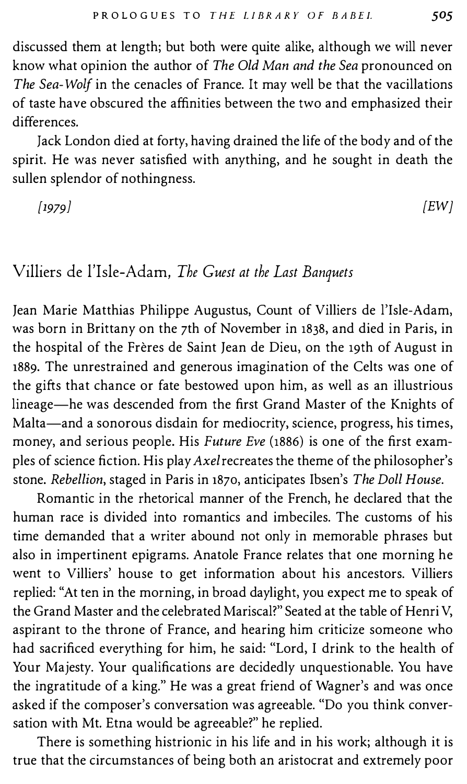discussed them at length; but both were quite alike, although we will never know what opinion the author of The Old Man and the Sea pronounced on The Sea-Wolf in the cenacles of France. It may well be that the vacillations of taste have obscured the affinities between the two and emphasized their differences.

Jack London died at forty, having drained the life of the body and of the spirit. He was never satisfied with anything, and he sought in death the sullen splendor of nothingness.

 $[1979]$   $[EW]$ 

## Villiers de l'Isle-Adam, The Guest at the Last Banquets

Jean Marie Matthias Philippe Augustus, Count of Villiers de l'Isle-Adam, was born in Brittany on the 7th of November in 1838, and died in Paris, in the hospital of the Frères de Saint Jean de Dieu, on the 19th of August in 1889. The unrestrained and generous imagination of the Celts was one of the gifts that chance or fate bestowed upon him, as well as an illustrious lineage-he was descended from the first Grand Master of the Knights of Malta-and a sonorous disdain for mediocrity, science, progress, his times, money, and serious people. His Future Eve (1886) is one of the first examples of science fiction. His play Axel recreates the theme of the philosopher's stone. Rebellion, staged in Paris in 1870, anticipates Ibsen's The Doll House.

Romantic in the rhetorical manner of the French, he declared that the human race is divided into romantics and imbeciles. The customs of his time demanded that a writer abound not only in memorable phrases but also in impertinent epigrams. Anatole France relates that one morning he went to Villiers' house to get information about his ancestors. Villiers replied: ''At ten in the morning, in broad daylight, you expect me to speak of the Grand Master and the celebrated Mariscal?" Seated at the table of Henri V, aspirant to the throne of France, and hearing him criticize someone who had sacrificed everything for him, he said: "Lord, I drink to the health of Your Majesty. Your qualifications are decidedly unquestionable. You have the ingratitude of a king." He was a great friend of Wagner's and was once asked if the composer's conversation was agreeable. "Do you think conversation with Mt. Etna would be agreeable?" he replied.

There is something histrionic in his life and in his work; although it is true that the circumstances of being both an aristocrat and extremely poor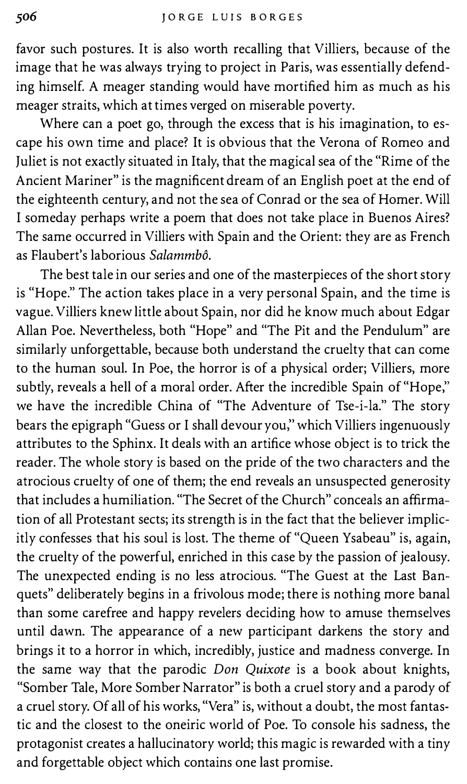favor such postures. It is also worth recalling that Villiers, because of the image that he was always trying to project in Paris, was essentially defending himself. A meager standing would have mortified him as much as his meager straits, which at times verged on miserable poverty.

Where can a poet go, through the excess that is his imagination, to escape his own time and place? It is obvious that the Verona of Romeo and Juliet is not exactly situated in Italy, that the magical sea of the "Rime of the Ancient Mariner" is the magnificent dream of an English poet at the end of the eighteenth century, and not the sea of Conrad or the sea of Homer. Will I someday perhaps write a poem that does not take place in Buenos Aires? The same occurred in Villiers with Spain and the Orient: they are as French as Flaubert's laborious Salammbô.

The best tale in our series and one of the masterpieces of the short story is "Hope." The action takes place in a very personal Spain, and the time is vague. Villiers knew little about Spain, nor did he know much about Edgar Allan Poe. Nevertheless, both "Hope" and "The Pit and the Pendulum" are similarly unforgettable, because both understand the cruelty that can come to the human soul. In Poe, the horror is of a physical order; Villiers, more subtly, reveals a hell of a moral order. After the incredible Spain of "Hope,'' we have the incredible China of "The Adventure of Tse-i-la." The story bears the epigraph "Guess or I shall devour you,'' which Villiers ingenuously attributes to the Sphinx. It deals with an artifice whose object is to trick the reader. The whole story is based on the pride of the two characters and the atrocious cruelty of one of them; the end reveals an unsuspected generosity that includes a humiliation. "The Secret of the Church" conceals an affirmation of all Protestant sects; its strength is in the fact that the believer implicitly confesses that his soul is lost. The theme of "Queen Ysabeau" is, again, the cruelty of the powerful, enriched in this case by the passion of jealousy. The unexpected ending is no less atrocious. "The Guest at the Last Banquets" deliberately begins in a frivolous mode; there is nothing more banal than some carefree and happy revelers deciding how to amuse themselves until dawn. The appearance of a new participant darkens the story and brings it to a horror in which, incredibly, justice and madness converge. In the same way that the parodic Don Quixote is a book about knights, "Somber Tale, More Somber Narrator" is both a cruel story and a parody of a cruel story. Of all of his works, "Vera" is, without a doubt, the most fantastic and the closest to the oneiric world of Poe. To console his sadness, the protagonist creates a hallucinatory world; this magic is rewarded with a tiny and forgettable object which contains one last promise.